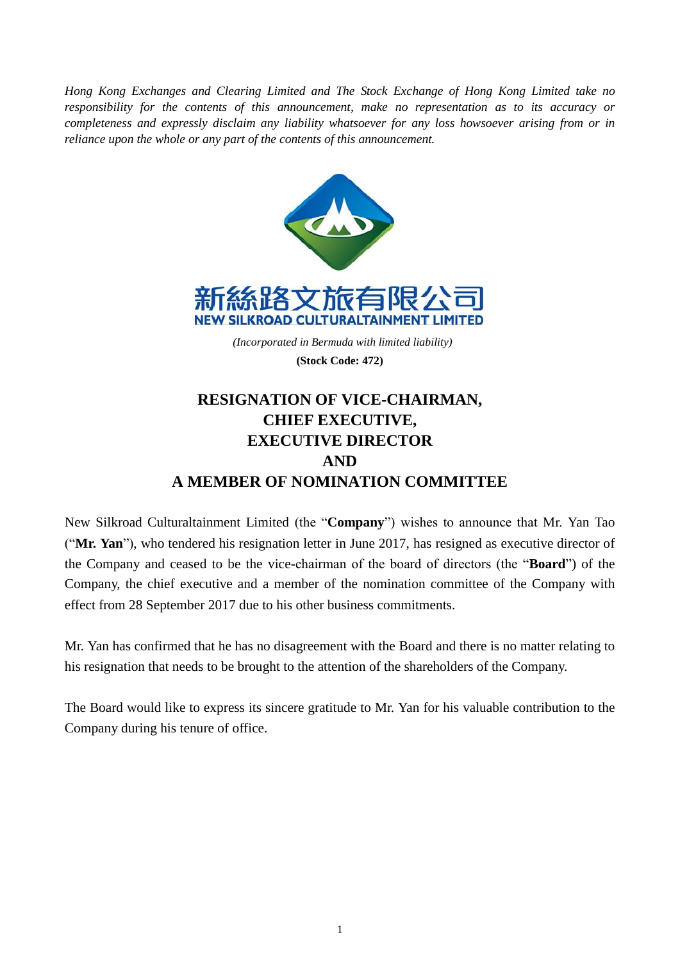*Hong Kong Exchanges and Clearing Limited and The Stock Exchange of Hong Kong Limited take no responsibility for the contents of this announcement, make no representation as to its accuracy or completeness and expressly disclaim any liability whatsoever for any loss howsoever arising from or in reliance upon the whole or any part of the contents of this announcement.*



## **RESIGNATION OF VICE-CHAIRMAN, CHIEF EXECUTIVE, EXECUTIVE DIRECTOR AND A MEMBER OF NOMINATION COMMITTEE**

New Silkroad Culturaltainment Limited (the "**Company**") wishes to announce that Mr. Yan Tao ("**Mr. Yan**"), who tendered his resignation letter in June 2017, has resigned as executive director of the Company and ceased to be the vice-chairman of the board of directors (the "**Board**") of the Company, the chief executive and a member of the nomination committee of the Company with effect from 28 September 2017 due to his other business commitments.

Mr. Yan has confirmed that he has no disagreement with the Board and there is no matter relating to his resignation that needs to be brought to the attention of the shareholders of the Company.

The Board would like to express its sincere gratitude to Mr. Yan for his valuable contribution to the Company during his tenure of office.